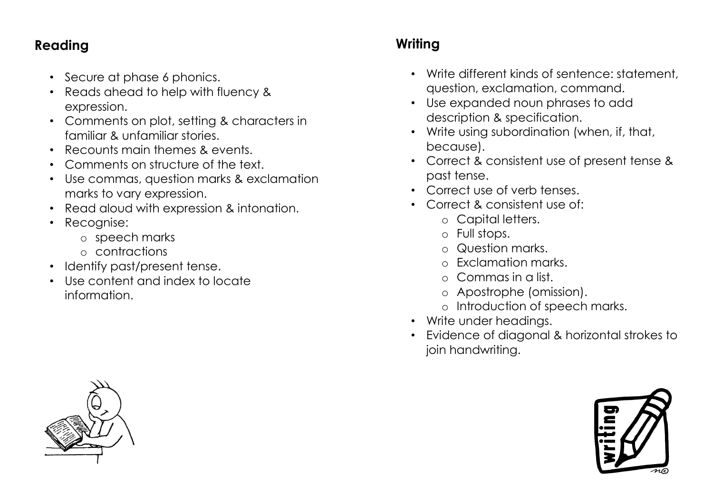### **Reading**

- Secure at phase 6 phonics.
- Reads ahead to help with fluency & expression.
- Comments on plot, setting & characters in familiar & unfamiliar stories.
- Recounts main themes & events.
- Comments on structure of the text.
- Use commas, question marks & exclamation marks to vary expression.
- Read aloud with expression & intonation.
- Recognise:
	- o speech marks
	- o contractions
- Identify past/present tense.
- Use content and index to locate information.

## **Writing**

- Write different kinds of sentence: statement, question, exclamation, command.
- Use expanded noun phrases to add description & specification.
- Write using subordination (when, if, that, because).
- Correct & consistent use of present tense & past tense.
- Correct use of verb tenses.
- Correct & consistent use of:
	- o Capital letters.
	- o Full stops.
	- o Question marks.
	- Exclamation marks.
	- o Commas in a list.
	- o Apostrophe (omission).
	- o Introduction of speech marks.
- Write under headings.
- Evidence of diagonal & horizontal strokes to join handwriting.